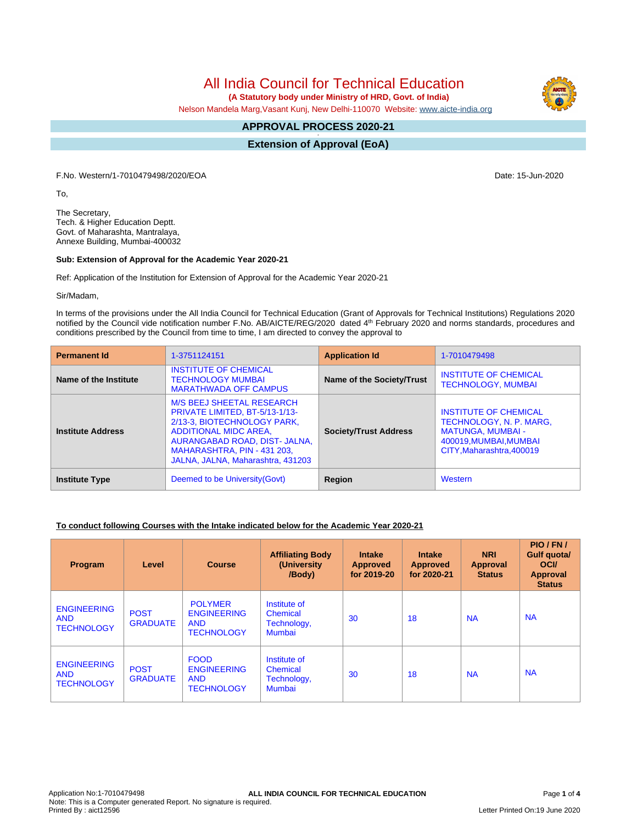# All India Council for Technical Education

 **(A Statutory body under Ministry of HRD, Govt. of India)**

Nelson Mandela Marg,Vasant Kunj, New Delhi-110070 Website: [www.aicte-india.org](http://www.aicte-india.org)

#### **APPROVAL PROCESS 2020-21 -**

**Extension of Approval (EoA)**

F.No. Western/1-7010479498/2020/EOA Date: 15-Jun-2020

To,

The Secretary, Tech. & Higher Education Deptt. Govt. of Maharashta, Mantralaya, Annexe Building, Mumbai-400032

#### **Sub: Extension of Approval for the Academic Year 2020-21**

Ref: Application of the Institution for Extension of Approval for the Academic Year 2020-21

Sir/Madam,

In terms of the provisions under the All India Council for Technical Education (Grant of Approvals for Technical Institutions) Regulations 2020 notified by the Council vide notification number F.No. AB/AICTE/REG/2020 dated 4<sup>th</sup> February 2020 and norms standards, procedures and conditions prescribed by the Council from time to time, I am directed to convey the approval to

| <b>Permanent Id</b>      | 1-3751124151                                                                                                                                                                                                                           | <b>Application Id</b>        | 1-7010479498                                                                                                                               |
|--------------------------|----------------------------------------------------------------------------------------------------------------------------------------------------------------------------------------------------------------------------------------|------------------------------|--------------------------------------------------------------------------------------------------------------------------------------------|
| Name of the Institute    | <b>INSTITUTE OF CHEMICAL</b><br><b>TECHNOLOGY MUMBAI</b><br><b>MARATHWADA OFF CAMPUS</b>                                                                                                                                               | Name of the Society/Trust    | <b>INSTITUTE OF CHEMICAL</b><br><b>TECHNOLOGY, MUMBAI</b>                                                                                  |
| <b>Institute Address</b> | <b>M/S BEEJ SHEETAL RESEARCH</b><br>PRIVATE LIMITED, BT-5/13-1/13-<br>2/13-3, BIOTECHNOLOGY PARK,<br><b>ADDITIONAL MIDC AREA,</b><br>AURANGABAD ROAD, DIST- JALNA,<br>MAHARASHTRA, PIN - 431 203,<br>JALNA, JALNA, Maharashtra, 431203 | <b>Society/Trust Address</b> | <b>INSTITUTE OF CHEMICAL</b><br>TECHNOLOGY, N. P. MARG,<br><b>MATUNGA, MUMBAI -</b><br>400019, MUMBAI, MUMBAI<br>CITY, Maharashtra, 400019 |
| <b>Institute Type</b>    | Deemed to be University (Govt)                                                                                                                                                                                                         | Region                       | Western                                                                                                                                    |

### **To conduct following Courses with the Intake indicated below for the Academic Year 2020-21**

| Program                                               | Level                          | <b>Course</b>                                                           | <b>Affiliating Body</b><br>(University)<br>/Body)               | <b>Intake</b><br><b>Approved</b><br>for 2019-20 | <b>Intake</b><br><b>Approved</b><br>for 2020-21 | <b>NRI</b><br><b>Approval</b><br><b>Status</b> | PIO/FN/<br>Gulf quota/<br><b>OCI</b><br><b>Approval</b><br><b>Status</b> |
|-------------------------------------------------------|--------------------------------|-------------------------------------------------------------------------|-----------------------------------------------------------------|-------------------------------------------------|-------------------------------------------------|------------------------------------------------|--------------------------------------------------------------------------|
| <b>ENGINEERING</b><br><b>AND</b><br><b>TECHNOLOGY</b> | <b>POST</b><br><b>GRADUATE</b> | <b>POLYMER</b><br><b>ENGINEERING</b><br><b>AND</b><br><b>TECHNOLOGY</b> | Institute of<br><b>Chemical</b><br>Technology,<br><b>Mumbai</b> | 30                                              | 18                                              | <b>NA</b>                                      | <b>NA</b>                                                                |
| <b>ENGINEERING</b><br><b>AND</b><br><b>TECHNOLOGY</b> | <b>POST</b><br><b>GRADUATE</b> | <b>FOOD</b><br><b>ENGINEERING</b><br><b>AND</b><br><b>TECHNOLOGY</b>    | Institute of<br>Chemical<br>Technology,<br><b>Mumbai</b>        | 30                                              | 18                                              | <b>NA</b>                                      | <b>NA</b>                                                                |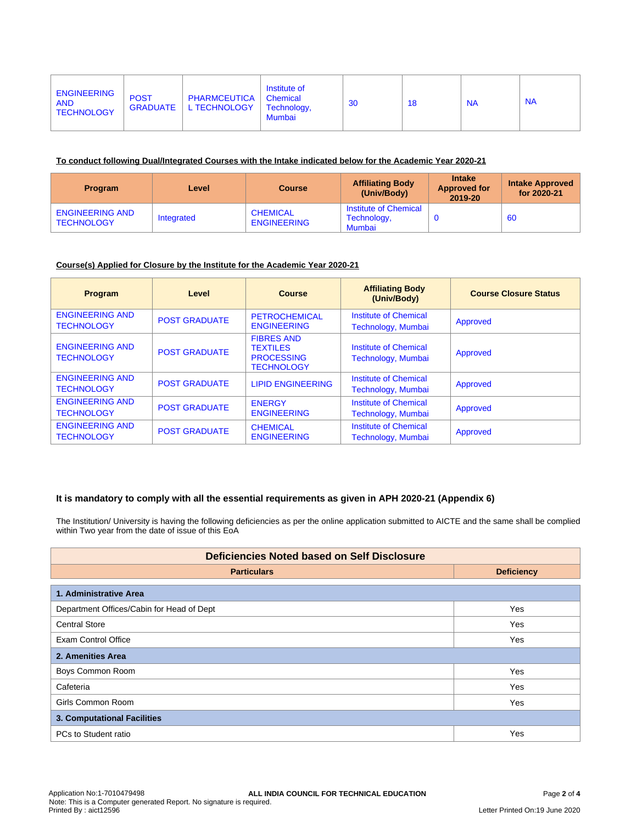| <b>ENGINEERING</b><br><b>POST</b><br><b>AND</b><br><b>TECHNOLOGY</b> | PHARMCEUTICA  <br>GRADUATE   L TECHNOLOGY | Institute of<br>Chemical<br>Technology,<br><b>Mumbai</b> | 30 | 18 | <b>NA</b> | <b>NA</b> |
|----------------------------------------------------------------------|-------------------------------------------|----------------------------------------------------------|----|----|-----------|-----------|
|----------------------------------------------------------------------|-------------------------------------------|----------------------------------------------------------|----|----|-----------|-----------|

#### **To conduct following Dual/Integrated Courses with the Intake indicated below for the Academic Year 2020-21**

| <b>Program</b>                              | Level      | <b>Course</b>                         | <b>Affiliating Body</b><br>(Univ/Body)         | <b>Intake</b><br><b>Approved for</b><br>2019-20 | <b>Intake Approved</b><br>for 2020-21 |
|---------------------------------------------|------------|---------------------------------------|------------------------------------------------|-------------------------------------------------|---------------------------------------|
| <b>ENGINEERING AND</b><br><b>TECHNOLOGY</b> | Integrated | <b>CHEMICAL</b><br><b>ENGINEERING</b> | Institute of Chemical<br>Technology,<br>Mumbai |                                                 | 60                                    |

#### **Course(s) Applied for Closure by the Institute for the Academic Year 2020-21**

| <b>Program</b>                              | Level                | <b>Course</b>                                                                  | <b>Affiliating Body</b><br>(Univ/Body)             | <b>Course Closure Status</b> |
|---------------------------------------------|----------------------|--------------------------------------------------------------------------------|----------------------------------------------------|------------------------------|
| <b>ENGINEERING AND</b><br><b>TECHNOLOGY</b> | <b>POST GRADUATE</b> | <b>PETROCHEMICAL</b><br><b>ENGINEERING</b>                                     | <b>Institute of Chemical</b><br>Technology, Mumbai | Approved                     |
| <b>ENGINEERING AND</b><br><b>TECHNOLOGY</b> | <b>POST GRADUATE</b> | <b>FIBRES AND</b><br><b>TEXTILES</b><br><b>PROCESSING</b><br><b>TECHNOLOGY</b> | Institute of Chemical<br>Technology, Mumbai        | Approved                     |
| <b>ENGINEERING AND</b><br><b>TECHNOLOGY</b> | <b>POST GRADUATE</b> | <b>LIPID ENGINEERING</b>                                                       | Institute of Chemical<br>Technology, Mumbai        | Approved                     |
| <b>ENGINEERING AND</b><br><b>TECHNOLOGY</b> | <b>POST GRADUATE</b> | <b>ENERGY</b><br><b>ENGINEERING</b>                                            | Institute of Chemical<br>Technology, Mumbai        | Approved                     |
| <b>ENGINEERING AND</b><br><b>TECHNOLOGY</b> | <b>POST GRADUATE</b> | <b>CHEMICAL</b><br><b>ENGINEERING</b>                                          | Institute of Chemical<br>Technology, Mumbai        | Approved                     |

## **It is mandatory to comply with all the essential requirements as given in APH 2020-21 (Appendix 6)**

The Institution/ University is having the following deficiencies as per the online application submitted to AICTE and the same shall be complied within Two year from the date of issue of this EoA

| <b>Deficiencies Noted based on Self Disclosure</b> |                   |  |  |  |
|----------------------------------------------------|-------------------|--|--|--|
| <b>Particulars</b>                                 | <b>Deficiency</b> |  |  |  |
| 1. Administrative Area                             |                   |  |  |  |
| Department Offices/Cabin for Head of Dept          | Yes               |  |  |  |
| <b>Central Store</b>                               | Yes               |  |  |  |
| <b>Exam Control Office</b>                         | Yes               |  |  |  |
| 2. Amenities Area                                  |                   |  |  |  |
| Boys Common Room                                   | Yes               |  |  |  |
| Cafeteria                                          | Yes               |  |  |  |
| Girls Common Room                                  | Yes               |  |  |  |
| 3. Computational Facilities                        |                   |  |  |  |
| PCs to Student ratio                               | Yes               |  |  |  |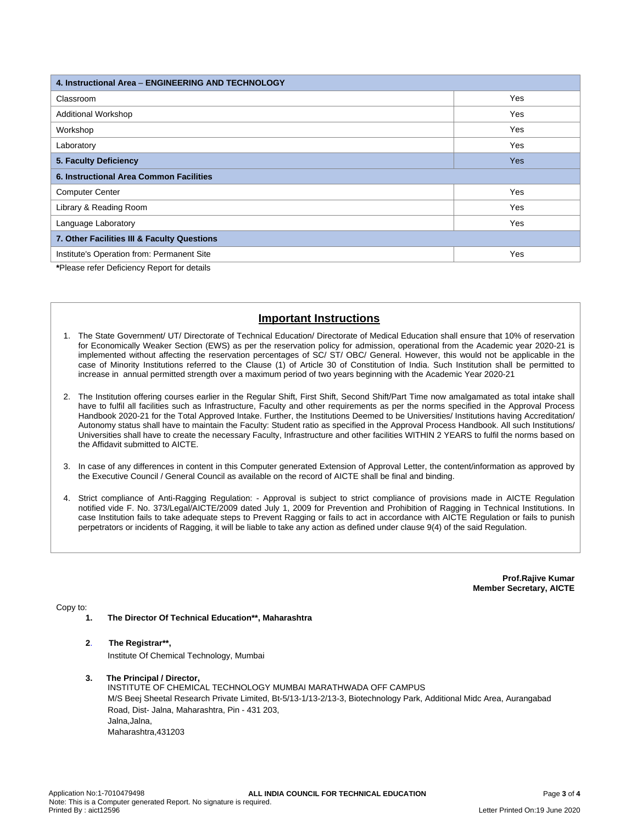| 4. Instructional Area - ENGINEERING AND TECHNOLOGY |     |  |  |  |
|----------------------------------------------------|-----|--|--|--|
| Classroom                                          | Yes |  |  |  |
| <b>Additional Workshop</b>                         | Yes |  |  |  |
| Workshop                                           | Yes |  |  |  |
| Laboratory                                         | Yes |  |  |  |
| 5. Faculty Deficiency                              | Yes |  |  |  |
| 6. Instructional Area Common Facilities            |     |  |  |  |
| <b>Computer Center</b>                             | Yes |  |  |  |
| Library & Reading Room                             | Yes |  |  |  |
| Language Laboratory                                | Yes |  |  |  |
| 7. Other Facilities III & Faculty Questions        |     |  |  |  |
| Institute's Operation from: Permanent Site         | Yes |  |  |  |

**\***Please refer Deficiency Report for details

## **Important Instructions**

- 1. The State Government/ UT/ Directorate of Technical Education/ Directorate of Medical Education shall ensure that 10% of reservation for Economically Weaker Section (EWS) as per the reservation policy for admission, operational from the Academic year 2020-21 is implemented without affecting the reservation percentages of SC/ ST/ OBC/ General. However, this would not be applicable in the case of Minority Institutions referred to the Clause (1) of Article 30 of Constitution of India. Such Institution shall be permitted to increase in annual permitted strength over a maximum period of two years beginning with the Academic Year 2020-21
- 2. The Institution offering courses earlier in the Regular Shift, First Shift, Second Shift/Part Time now amalgamated as total intake shall have to fulfil all facilities such as Infrastructure, Faculty and other requirements as per the norms specified in the Approval Process Handbook 2020-21 for the Total Approved Intake. Further, the Institutions Deemed to be Universities/ Institutions having Accreditation/ Autonomy status shall have to maintain the Faculty: Student ratio as specified in the Approval Process Handbook. All such Institutions/ Universities shall have to create the necessary Faculty, Infrastructure and other facilities WITHIN 2 YEARS to fulfil the norms based on the Affidavit submitted to AICTE.
- 3. In case of any differences in content in this Computer generated Extension of Approval Letter, the content/information as approved by the Executive Council / General Council as available on the record of AICTE shall be final and binding.
- 4. Strict compliance of Anti-Ragging Regulation: Approval is subject to strict compliance of provisions made in AICTE Regulation notified vide F. No. 373/Legal/AICTE/2009 dated July 1, 2009 for Prevention and Prohibition of Ragging in Technical Institutions. In case Institution fails to take adequate steps to Prevent Ragging or fails to act in accordance with AICTE Regulation or fails to punish perpetrators or incidents of Ragging, it will be liable to take any action as defined under clause 9(4) of the said Regulation.

**Prof.Rajive Kumar Member Secretary, AICTE**

#### Copy to:

- **1. The Director Of Technical Education\*\*, Maharashtra**
- **2**. **The Registrar\*\*,**

Institute Of Chemical Technology, Mumbai

**3. The Principal / Director,**

INSTITUTE OF CHEMICAL TECHNOLOGY MUMBAI MARATHWADA OFF CAMPUS M/S Beej Sheetal Research Private Limited, Bt-5/13-1/13-2/13-3, Biotechnology Park, Additional Midc Area, Aurangabad Road, Dist- Jalna, Maharashtra, Pin - 431 203, Jalna,Jalna, Maharashtra,431203